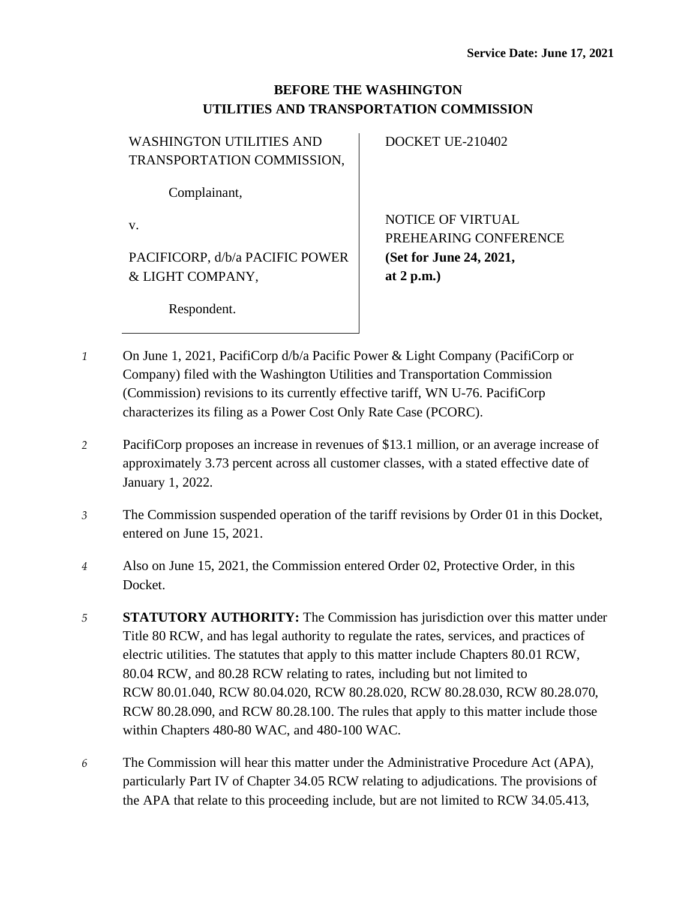## **BEFORE THE WASHINGTON UTILITIES AND TRANSPORTATION COMMISSION**

| <b>WASHINGTON UTILITIES AND</b> | DOCKET UE-210402         |
|---------------------------------|--------------------------|
| TRANSPORTATION COMMISSION,      |                          |
| Complainant,                    |                          |
| V.                              | <b>NOTICE OF VIRTUAL</b> |
|                                 | PREHEARING CONFERENCE    |
| PACIFICORP, d/b/a PACIFIC POWER | (Set for June 24, 2021,  |
| & LIGHT COMPANY,                | at $2 p.m.$              |
| Respondent.                     |                          |

- *1* On June 1, 2021, PacifiCorp d/b/a Pacific Power & Light Company (PacifiCorp or Company) filed with the Washington Utilities and Transportation Commission (Commission) revisions to its currently effective tariff, WN U-76. PacifiCorp characterizes its filing as a Power Cost Only Rate Case (PCORC).
- *2* PacifiCorp proposes an increase in revenues of \$13.1 million, or an average increase of approximately 3.73 percent across all customer classes, with a stated effective date of January 1, 2022.
- *3* The Commission suspended operation of the tariff revisions by Order 01 in this Docket, entered on June 15, 2021.
- *4* Also on June 15, 2021, the Commission entered Order 02, Protective Order, in this Docket.
- *5* **STATUTORY AUTHORITY:** The Commission has jurisdiction over this matter under Title 80 RCW, and has legal authority to regulate the rates, services, and practices of electric utilities. The statutes that apply to this matter include Chapters 80.01 RCW, 80.04 RCW, and 80.28 RCW relating to rates, including but not limited to RCW 80.01.040, RCW 80.04.020, RCW 80.28.020, RCW 80.28.030, RCW 80.28.070, RCW 80.28.090, and RCW 80.28.100. The rules that apply to this matter include those within Chapters 480-80 WAC, and 480-100 WAC.
- *6* The Commission will hear this matter under the Administrative Procedure Act (APA), particularly Part IV of Chapter 34.05 RCW relating to adjudications. The provisions of the APA that relate to this proceeding include, but are not limited to RCW 34.05.413,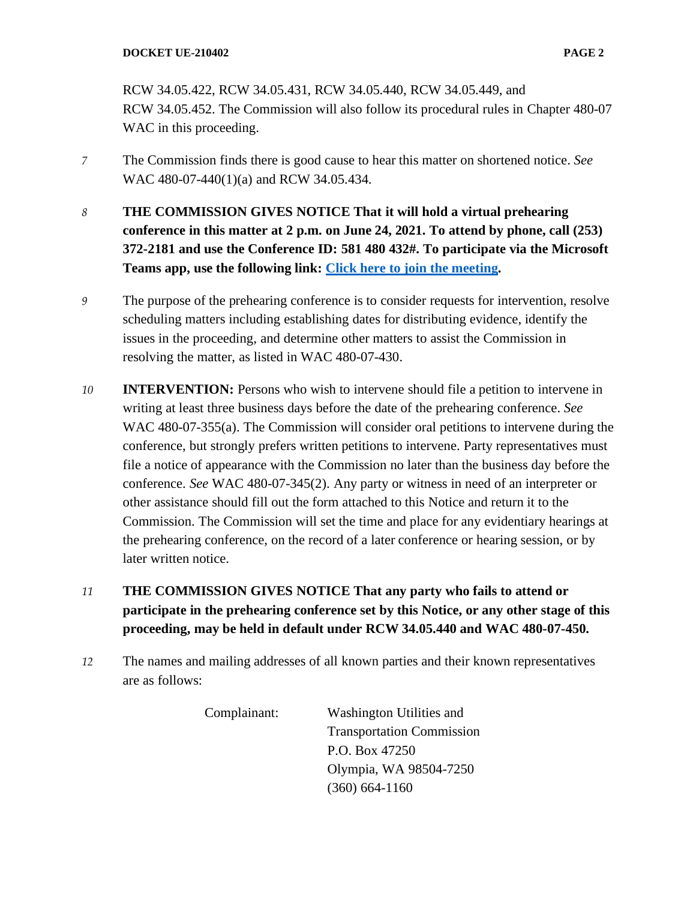RCW 34.05.422, RCW 34.05.431, RCW 34.05.440, RCW 34.05.449, and RCW 34.05.452. The Commission will also follow its procedural rules in Chapter 480-07 WAC in this proceeding.

- *7* The Commission finds there is good cause to hear this matter on shortened notice. *See*  WAC 480-07-440(1)(a) and RCW 34.05.434.
- *8* **THE COMMISSION GIVES NOTICE That it will hold a virtual prehearing conference in this matter at 2 p.m. on June 24, 2021. To attend by phone, call (253) 372-2181 and use the Conference ID: 581 480 432#. To participate via the Microsoft Teams app, use the following link: [Click here to join the meeting.](https://teams.microsoft.com/l/meetup-join/19%3ameeting_ZGUyMTdhODQtODZlNi00NzIyLWE1MGEtMmZmN2U1NjFhYWEx%40thread.v2/0?context=%7b%22Tid%22%3a%2211d0e217-264e-400a-8ba0-57dcc127d72d%22%2c%22Oid%22%3a%22e087eca4-4cd8-416f-8fc0-53ed60dbc833%22%7d)**
- *9* The purpose of the prehearing conference is to consider requests for intervention, resolve scheduling matters including establishing dates for distributing evidence, identify the issues in the proceeding, and determine other matters to assist the Commission in resolving the matter, as listed in WAC 480-07-430.
- *10* **INTERVENTION:** Persons who wish to intervene should file a petition to intervene in writing at least three business days before the date of the prehearing conference. *See* WAC 480-07-355(a). The Commission will consider oral petitions to intervene during the conference, but strongly prefers written petitions to intervene. Party representatives must file a notice of appearance with the Commission no later than the business day before the conference. *See* WAC 480-07-345(2). Any party or witness in need of an interpreter or other assistance should fill out the form attached to this Notice and return it to the Commission. The Commission will set the time and place for any evidentiary hearings at the prehearing conference, on the record of a later conference or hearing session, or by later written notice.
- *11* **THE COMMISSION GIVES NOTICE That any party who fails to attend or participate in the prehearing conference set by this Notice, or any other stage of this proceeding, may be held in default under RCW 34.05.440 and WAC 480-07-450.**
- *12* The names and mailing addresses of all known parties and their known representatives are as follows:

Complainant: Washington Utilities and Transportation Commission P.O. Box 47250 Olympia, WA 98504-7250 (360) 664-1160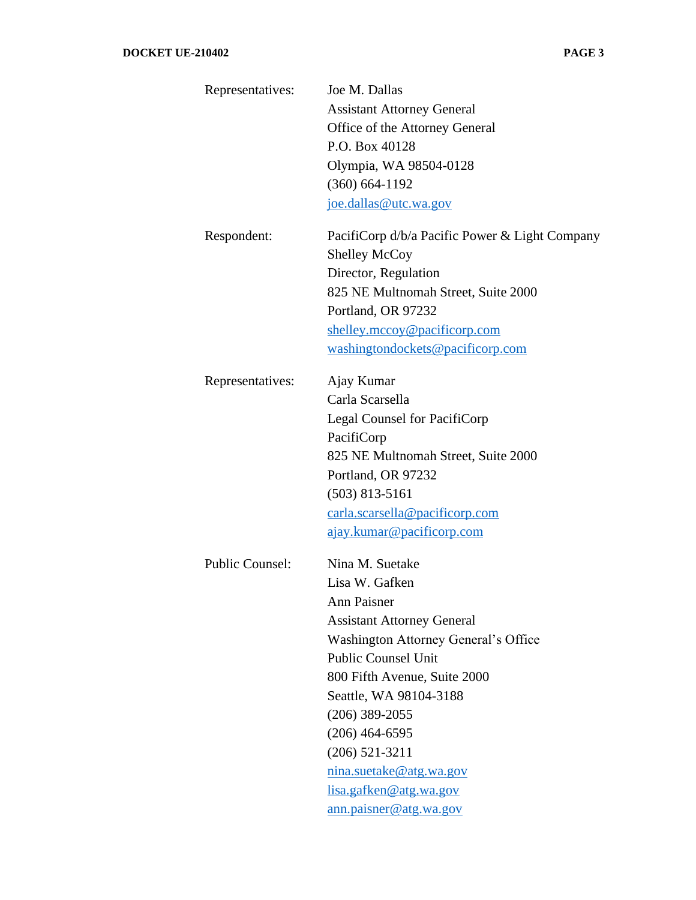| Representatives:       | Joe M. Dallas                                  |
|------------------------|------------------------------------------------|
|                        | <b>Assistant Attorney General</b>              |
|                        | Office of the Attorney General                 |
|                        | P.O. Box 40128                                 |
|                        | Olympia, WA 98504-0128                         |
|                        | $(360) 664-1192$                               |
|                        | joe.dallas@utc.wa.gov                          |
| Respondent:            | PacifiCorp d/b/a Pacific Power & Light Company |
|                        | <b>Shelley McCoy</b>                           |
|                        | Director, Regulation                           |
|                        | 825 NE Multnomah Street, Suite 2000            |
|                        | Portland, OR 97232                             |
|                        | shelley.mccoy@pacificorp.com                   |
|                        | washingtondockets@pacificorp.com               |
| Representatives:       | Ajay Kumar                                     |
|                        | Carla Scarsella                                |
|                        | <b>Legal Counsel for PacifiCorp</b>            |
|                        | PacifiCorp                                     |
|                        | 825 NE Multnomah Street, Suite 2000            |
|                        | Portland, OR 97232                             |
|                        | $(503)$ 813-5161                               |
|                        | carla.scarsella@pacificorp.com                 |
|                        | ajay.kumar@pacificorp.com                      |
| <b>Public Counsel:</b> | Nina M. Suetake                                |
|                        | Lisa W. Gafken                                 |
|                        | <b>Ann Paisner</b>                             |
|                        | <b>Assistant Attorney General</b>              |
|                        | Washington Attorney General's Office           |
|                        | <b>Public Counsel Unit</b>                     |
|                        | 800 Fifth Avenue, Suite 2000                   |
|                        | Seattle, WA 98104-3188                         |
|                        | $(206)$ 389-2055                               |
|                        | $(206)$ 464-6595                               |
|                        | $(206)$ 521-3211                               |
|                        | nina.suetake@atg.wa.gov                        |
|                        | lisa.gafken@atg.wa.gov                         |
|                        | ann.paisner@atg.wa.gov                         |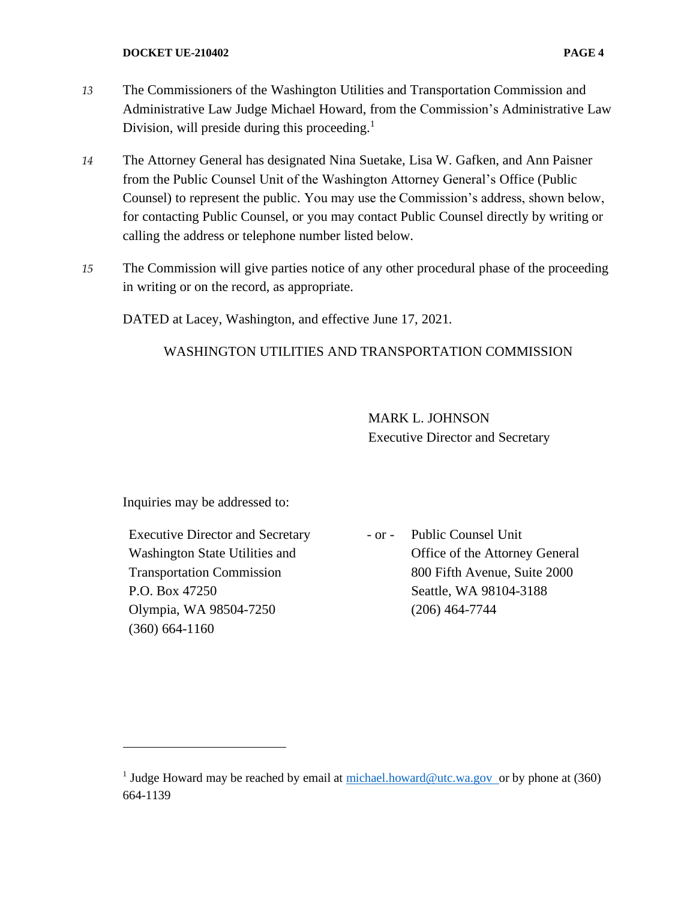- *13* The Commissioners of the Washington Utilities and Transportation Commission and Administrative Law Judge Michael Howard, from the Commission's Administrative Law Division, will preside during this proceeding. $<sup>1</sup>$ </sup>
- *14* The Attorney General has designated Nina Suetake, Lisa W. Gafken, and Ann Paisner from the Public Counsel Unit of the Washington Attorney General's Office (Public Counsel) to represent the public. You may use the Commission's address, shown below, for contacting Public Counsel, or you may contact Public Counsel directly by writing or calling the address or telephone number listed below.
- *15* The Commission will give parties notice of any other procedural phase of the proceeding in writing or on the record, as appropriate.

DATED at Lacey, Washington, and effective June 17, 2021.

## WASHINGTON UTILITIES AND TRANSPORTATION COMMISSION

MARK L. JOHNSON Executive Director and Secretary

Inquiries may be addressed to:

Executive Director and Secretary Washington State Utilities and Transportation Commission P.O. Box 47250 Olympia, WA 98504-7250 (360) 664-1160

- or - Public Counsel Unit Office of the Attorney General 800 Fifth Avenue, Suite 2000 Seattle, WA 98104-3188 (206) 464-7744

<sup>&</sup>lt;sup>1</sup> Judge Howard may be reached by email at  $\frac{\text{michael}, \text{howard@utc.wa.gov}}{\text{outc.wa.gov}}$  or by phone at (360) 664-1139